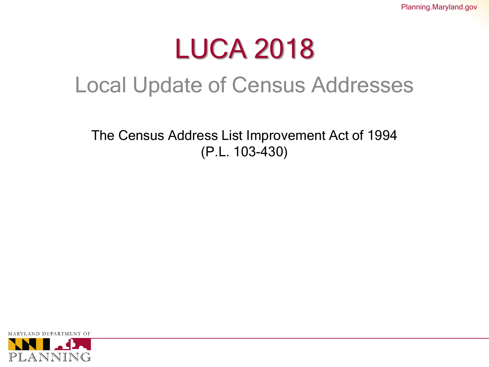#### LUCA 2018

#### Local Update of Census Addresses

The Census Address List Improvement Act of 1994 (P.L. 103-430)

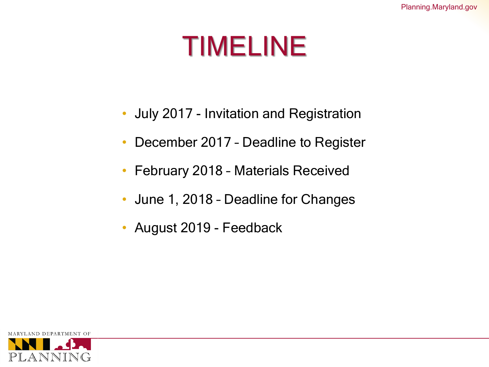## TIMELINE

- July 2017 Invitation and Registration
- December 2017 Deadline to Register
- February 2018 Materials Received
- June 1, 2018 Deadline for Changes
- August 2019 Feedback

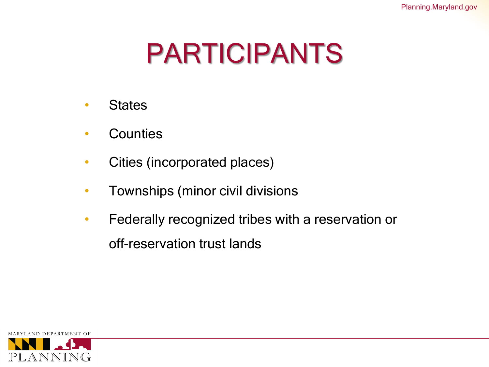## PARTICIPANTS

- States
- Counties
- Cities (incorporated places)
- Townships (minor civil divisions
- Federally recognized tribes with a reservation or off-reservation trust lands

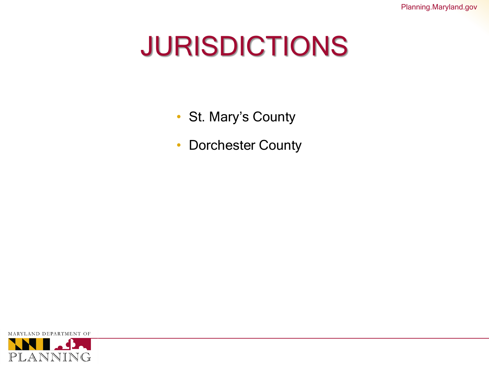# JURISDICTIONS

- St. Mary's County
- Dorchester County

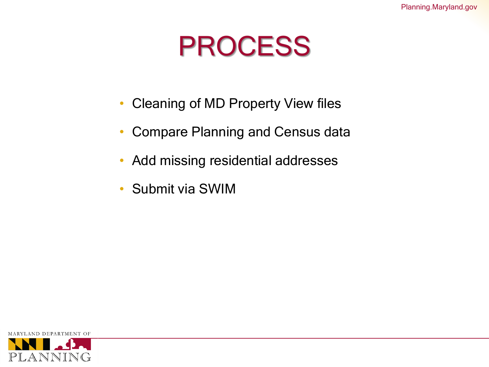#### PROCESS

- Cleaning of MD Property View files
- Compare Planning and Census data
- Add missing residential addresses
- Submit via SWIM

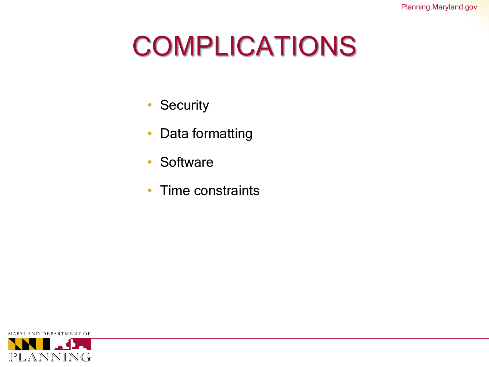# COMPLICATIONS

- Security
- Data formatting
- Software
- Time constraints

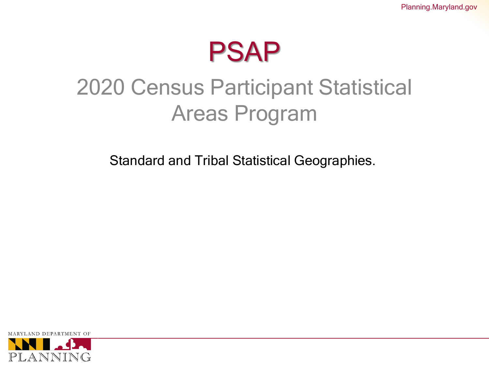#### PSAP

#### 2020 Census Participant Statistical Areas Program

Standard and Tribal Statistical Geographies.

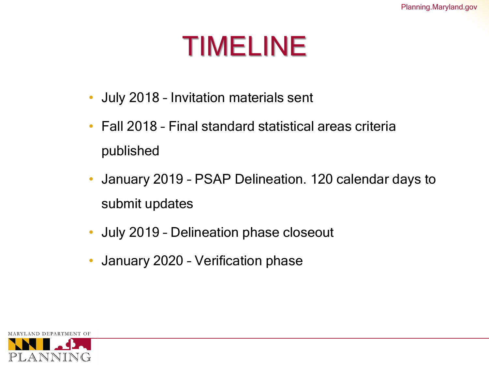### TIMELINE

- July 2018 Invitation materials sent
- Fall 2018 Final standard statistical areas criteria published
- January 2019 PSAP Delineation. 120 calendar days to submit updates
- July 2019 Delineation phase closeout
- January 2020 Verification phase

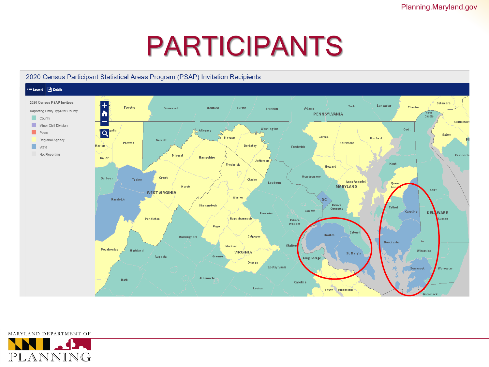#### PARTICIPANTS